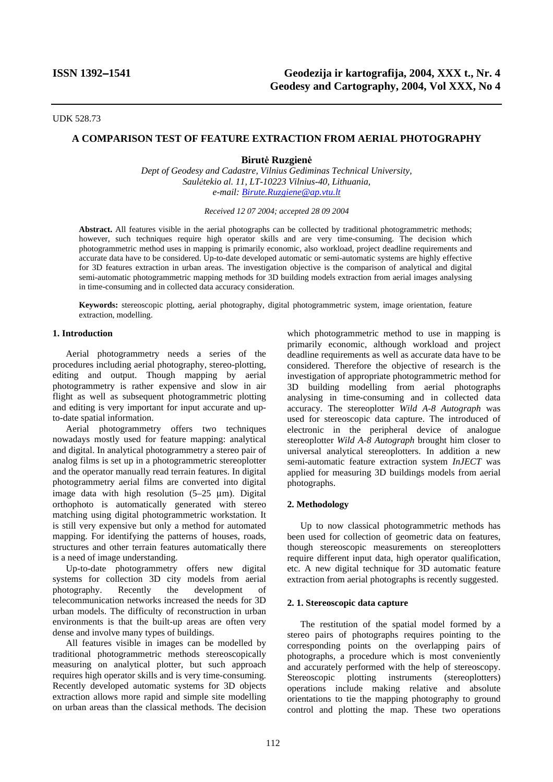UDK 528.73

# **A COMPARISON TEST OF FEATURE EXTRACTION FROM AERIAL PHOTOGRAPHY**

### **Birutė Ruzgienė**

*Dept of Geodesy and Cadastre, Vilnius Gediminas Technical University, Saulėtekio al. 11, LT-10223 Vilnius-40, Lithuania, e-mail: Birute.Ruzgiene@ap.vtu.lt*

#### *Received 12 07 2004; accepted 28 09 2004*

**Abstract.** All features visible in the aerial photographs can be collected by traditional photogrammetric methods; however, such techniques require high operator skills and are very time-consuming. The decision which photogrammetric method uses in mapping is primarily economic, also workload, project deadline requirements and accurate data have to be considered. Up-to-date developed automatic or semi-automatic systems are highly effective for 3D features extraction in urban areas. The investigation objective is the comparison of analytical and digital semi-automatic photogrammetric mapping methods for 3D building models extraction from aerial images analysing in time-consuming and in collected data accuracy consideration.

**Keywords:** stereoscopic plotting, aerial photography, digital photogrammetric system, image orientation, feature extraction, modelling.

### **1. Introduction**

Aerial photogrammetry needs a series of the procedures including aerial photography, stereo-plotting, editing and output. Though mapping by aerial photogrammetry is rather expensive and slow in air flight as well as subsequent photogrammetric plotting and editing is very important for input accurate and upto-date spatial information.

Aerial photogrammetry offers two techniques nowadays mostly used for feature mapping: analytical and digital. In analytical photogrammetry a stereo pair of analog films is set up in a photogrammetric stereoplotter and the operator manually read terrain features. In digital photogrammetry aerial films are converted into digital image data with high resolution  $(5-25 \text{ µm})$ . Digital orthophoto is automatically generated with stereo matching using digital photogrammetric workstation. It is still very expensive but only a method for automated mapping. For identifying the patterns of houses, roads, structures and other terrain features automatically there is a need of image understanding.

Up-to-date photogrammetry offers new digital systems for collection 3D city models from aerial photography. Recently the development of telecommunication networks increased the needs for 3D urban models. The difficulty of reconstruction in urban environments is that the built-up areas are often very dense and involve many types of buildings.

All features visible in images can be modelled by traditional photogrammetric methods stereoscopically measuring on analytical plotter, but such approach requires high operator skills and is very time-consuming. Recently developed automatic systems for 3D objects extraction allows more rapid and simple site modelling on urban areas than the classical methods. The decision

which photogrammetric method to use in mapping is primarily economic, although workload and project deadline requirements as well as accurate data have to be considered. Therefore the objective of research is the investigation of appropriate photogrammetric method for 3D building modelling from aerial photographs analysing in time-consuming and in collected data accuracy. The stereoplotter *Wild A-8 Autograph* was used for stereoscopic data capture. The introduced of electronic in the peripheral device of analogue stereoplotter *Wild A-8 Autograph* brought him closer to universal analytical stereoplotters. In addition a new semi-automatic feature extraction system *InJECT* was applied for measuring 3D buildings models from aerial photographs.

### **2. Methodology**

Up to now classical photogrammetric methods has been used for collection of geometric data on features, though stereoscopic measurements on stereoplotters require different input data, high operator qualification, etc. A new digital technique for 3D automatic feature extraction from aerial photographs is recently suggested.

#### **2. 1. Stereoscopic data capture**

The restitution of the spatial model formed by a stereo pairs of photographs requires pointing to the corresponding points on the overlapping pairs of photographs, a procedure which is most conveniently and accurately performed with the help of stereoscopy. Stereoscopic plotting instruments (stereoplotters) operations include making relative and absolute orientations to tie the mapping photography to ground control and plotting the map. These two operations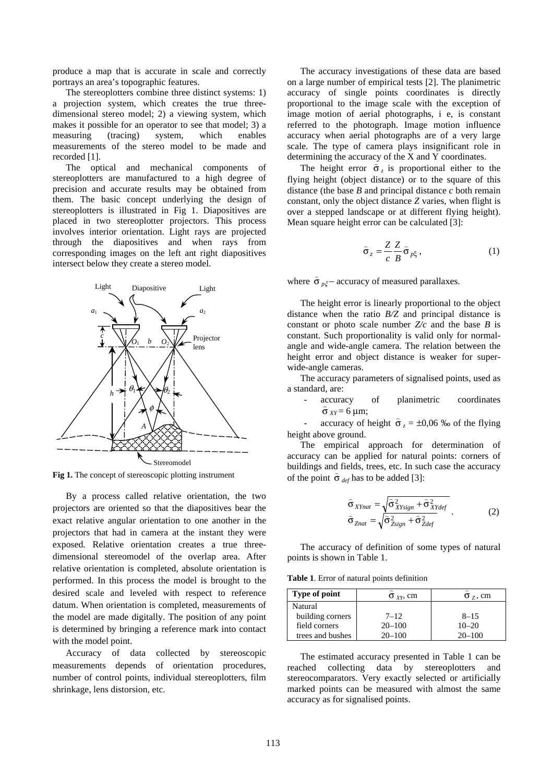produce a map that is accurate in scale and correctly portrays an area's topographic features.

The stereoplotters combine three distinct systems: 1) a projection system, which creates the true threedimensional stereo model; 2) a viewing system, which makes it possible for an operator to see that model; 3) a measuring (tracing) system, which enables measurements of the stereo model to be made and recorded [1].

The optical and mechanical components of stereoplotters are manufactured to a high degree of precision and accurate results may be obtained from them. The basic concept underlying the design of stereoplotters is illustrated in Fig 1. Diapositives are placed in two stereoplotter projectors. This process involves interior orientation. Light rays are projected through the diapositives and when rays from corresponding images on the left ant right diapositives intersect below they create a stereo model.



Fig 1. The concept of stereoscopic plotting instrument

By a process called relative orientation, the two projectors are oriented so that the diapositives bear the exact relative angular orientation to one another in the projectors that had in camera at the instant they were exposed. Relative orientation creates a true threedimensional stereomodel of the overlap area. After relative orientation is completed, absolute orientation is performed. In this process the model is brought to the desired scale and leveled with respect to reference datum. When orientation is completed, measurements of the model are made digitally. The position of any point is determined by bringing a reference mark into contact with the model point.

Accuracy of data collected by stereoscopic measurements depends of orientation procedures, number of control points, individual stereoplotters, film shrinkage, lens distorsion, etc.

The accuracy investigations of these data are based on a large number of empirical tests [2]. The planimetric accuracy of single points coordinates is directly proportional to the image scale with the exception of image motion of aerial photographs, i e, is constant referred to the photograph. Image motion influence accuracy when aerial photographs are of a very large scale. The type of camera plays insignificant role in determining the accuracy of the X and Y coordinates.

The height error  $\hat{\sigma}_z$  is proportional either to the flying height (object distance) or to the square of this distance (the base  $B$  and principal distance  $c$  both remain constant, only the object distance *Z* varies, when flight is over a stepped landscape or at different flying height). Mean square height error can be calculated [3]:

$$
\hat{\sigma}_z = \frac{Z}{c} \frac{Z}{B} \hat{\sigma}_{p\zeta},\qquad(1)
$$

where  $\hat{\sigma}_{p\xi}$  – accuracy of measured parallaxes.

The height error is linearly proportional to the object distance when the ratio *B/Z* and principal distance is constant or photo scale number  $Z/c$  and the base  $B$  is constant. Such proportionality is valid only for normalangle and wide-angle camera. The relation between the height error and object distance is weaker for superwide-angle cameras.

The accuracy parameters of signalised points, used as a standard, are:

> - accuracy of planimetric coordinates  $\hat{\sigma}_{XY} = 6 \text{ }\mu\text{m};$

 $\vec{a}$  accuracy of height  $\hat{\sigma}_z = \pm 0.06$  ‰ of the flying height above ground.

The empirical approach for determination of accuracy can be applied for natural points: corners of buildings and fields, trees, etc. In such case the accuracy of the point  $\hat{\sigma}_{def}$  has to be added [3]:

$$
\hat{\sigma}_{XYnat} = \sqrt{\hat{\sigma}_{XYsign}^2 + \hat{\sigma}_{XYdef}^2}
$$
\n
$$
\hat{\sigma}_{Znat} = \sqrt{\hat{\sigma}_{Zsign}^2 + \hat{\sigma}_{Zdef}^2}
$$
\n(2)

 The accuracy of definition of some types of natural points is shown in Table 1.

**Table 1**. Error of natural points definition

| <b>Type of point</b> | $\sigma_{XY}$ , cm | $\sigma$ <sub>z</sub> , cm |
|----------------------|--------------------|----------------------------|
| Natural              |                    |                            |
| building corners     | $7 - 12$           | $8 - 15$                   |
| field corners        | $20 - 100$         | $10 - 20$                  |
| trees and bushes     | $20 - 100$         | $20 - 100$                 |

 The estimated accuracy presented in Table 1 can be reached collecting data by stereoplotters and stereocomparators. Very exactly selected or artificially marked points can be measured with almost the same accuracy as for signalised points.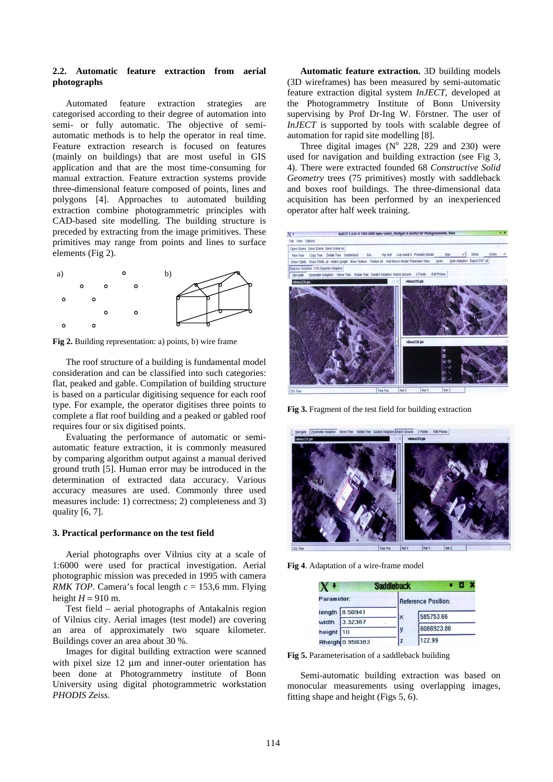## **2.2. Automatic feature extraction from aerial photographs**

 Automated feature extraction strategies are categorised according to their degree of automation into semi- or fully automatic. The objective of semiautomatic methods is to help the operator in real time. Feature extraction research is focused on features (mainly on buildings) that are most useful in GIS application and that are the most time-consuming for manual extraction. Feature extraction systems provide three-dimensional feature composed of points, lines and polygons [4]. Approaches to automated building extraction combine photogrammetric principles with CAD-based site modelling. The building structure is preceded by extracting from the image primitives. These primitives may range from points and lines to surface elements (Fig 2).



**Fig 2.** Building representation: a) points, b) wire frame

 The roof structure of a building is fundamental model consideration and can be classified into such categories: flat, peaked and gable. Compilation of building structure is based on a particular digitising sequence for each roof type. For example, the operator digitises three points to complete a flat roof building and a peaked or gabled roof requires four or six digitised points.

 Evaluating the performance of automatic or semiautomatic feature extraction, it is commonly measured by comparing algorithm output against a manual derived ground truth [5]. Human error may be introduced in the determination of extracted data accuracy. Various accuracy measures are used. Commonly three used measures include: 1) correctness; 2) completeness and 3) quality [6, 7].

#### **3. Practical performance on the test field**

Aerial photographs over Vilnius city at a scale of 1:6000 were used for practical investigation. Aerial photographic mission was preceded in 1995 with camera *RMK TOP.* Camera's focal length  $c = 153.6$  mm. Flying height  $H = 910$  m.

Test field – aerial photographs of Antakalnis region of Vilnius city. Aerial images (test model) are covering an area of approximately two square kilometer. Buildings cover an area about 30 %.

Images for digital building extraction were scanned with pixel size 12  $\mu$ m and inner-outer orientation has been done at Photogrammetry institute of Bonn University using digital photogrammetric workstation *PHODIS Zeiss.* 

**Automatic feature extraction.** 3D building models (3D wireframes) has been measured by semi-automatic feature extraction digital system *InJECT*, developed at the Photogrammetry Institute of Bonn University supervising by Prof Dr-Ing W. Förstner. The user of *InJECT* is supported by tools with scalable degree of automation for rapid site modelling [8].

Three digital images  $(N^{\circ} 228, 229)$  and 230) were used for navigation and building extraction (see Fig 3, 4). There were extracted founded 68 *Constructive Solid Geometry* trees (75 primitives) mostly with saddleback and boxes roof buildings. The three-dimensional data acquisition has been performed by an inexperienced operator after half week training.



**Fig 3.** Fragment of the test field for building extraction



**Fig 4**. Adaptation of a wire-frame model

|            |                 | <b>Saddleback</b> |                     |
|------------|-----------------|-------------------|---------------------|
| Parameter: |                 |                   | Reference Position: |
|            | length 8.50941  |                   | 585753.66           |
| width      | 3.32367         |                   |                     |
| height 10  |                 |                   | 6066923.86          |
|            | Rheigh 0.950383 |                   | 122.99              |

**Fig 5.** Parameterisation of a saddleback building

Semi-automatic building extraction was based on monocular measurements using overlapping images, fitting shape and height (Figs 5, 6).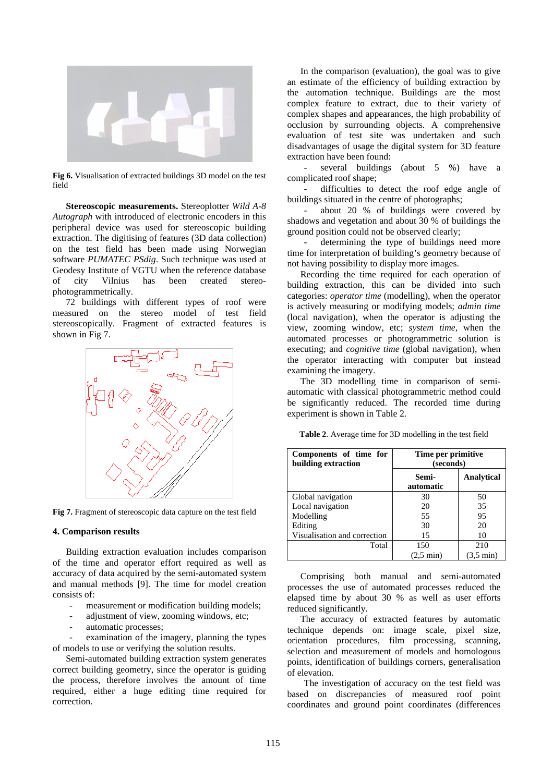

**Fig 6.** Visualisation of extracted buildings 3D model on the test field

 **Stereoscopic measurements.** Stereoplotter *Wild A-8 Autograph* with introduced of electronic encoders in this peripheral device was used for stereoscopic building extraction. The digitising of features (3D data collection) on the test field has been made using Norwegian software *PUMATEC PSdig*. Such technique was used at Geodesy Institute of VGTU when the reference database of city Vilnius has been created stereophotogrammetrically.

 72 buildings with different types of roof were measured on the stereo model of test field stereoscopically. Fragment of extracted features is shown in Fig 7.



**Fig 7.** Fragment of stereoscopic data capture on the test field

#### **4. Comparison results**

 Building extraction evaluation includes comparison of the time and operator effort required as well as accuracy of data acquired by the semi-automated system and manual methods [9]. The time for model creation consists of:

- measurement or modification building models;
- adjustment of view, zooming windows, etc;
- automatic processes;

examination of the imagery, planning the types of models to use or verifying the solution results.

 Semi-automated building extraction system generates correct building geometry, since the operator is guiding the process, therefore involves the amount of time required, either a huge editing time required for correction.

 In the comparison (evaluation), the goal was to give an estimate of the efficiency of building extraction by the automation technique. Buildings are the most complex feature to extract, due to their variety of complex shapes and appearances, the high probability of occlusion by surrounding objects. A comprehensive evaluation of test site was undertaken and such disadvantages of usage the digital system for 3D feature extraction have been found:

several buildings (about 5 %) have a complicated roof shape;

- difficulties to detect the roof edge angle of buildings situated in the centre of photographs;

- about 20 % of buildings were covered by shadows and vegetation and about 30 % of buildings the ground position could not be observed clearly;

determining the type of buildings need more time for interpretation of building's geometry because of not having possibility to display more images.

 Recording the time required for each operation of building extraction, this can be divided into such categories: *operator time* (modelling), when the operator is actively measuring or modifying models; *admin time* (local navigation), when the operator is adjusting the view, zooming window, etc; *system time*, when the automated processes or photogrammetric solution is executing; and *cognitive time* (global navigation), when the operator interacting with computer but instead examining the imagery.

 The 3D modelling time in comparison of semiautomatic with classical photogrammetric method could be significantly reduced. The recorded time during experiment is shown in Table 2.

|  | Table 2. Average time for 3D modelling in the test field |
|--|----------------------------------------------------------|
|  |                                                          |

| Components of time for<br>building extraction | Time per primitive<br>(seconds) |                     |
|-----------------------------------------------|---------------------------------|---------------------|
|                                               | Semi-<br>automatic              | <b>Analytical</b>   |
| Global navigation                             | 30                              | 50                  |
| Local navigation                              | 20                              | 35                  |
| Modelling                                     | 55                              | 95                  |
| Editing                                       | 30                              | 20                  |
| Visualisation and correction                  | 15                              | 10                  |
| Total                                         | 150                             | 210                 |
|                                               | $(2.5 \text{ min})$             | $(3.5 \text{ min})$ |

 Comprising both manual and semi-automated processes the use of automated processes reduced the elapsed time by about 30 % as well as user efforts reduced significantly.

 The accuracy of extracted features by automatic technique depends on: image scale, pixel size, orientation procedures, film processing, scanning, selection and measurement of models and homologous points, identification of buildings corners, generalisation of elevation.

The investigation of accuracy on the test field was based on discrepancies of measured roof point coordinates and ground point coordinates (differences